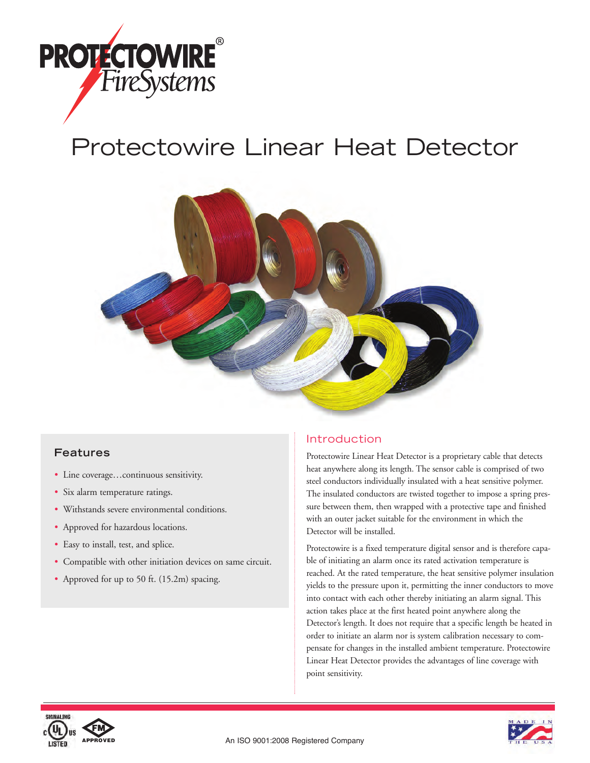

# Protectowire Linear Heat Detector



## **Features**

- Line coverage…continuous sensitivity.
- Six alarm temperature ratings.
- Withstands severe environmental conditions.
- Approved for hazardous locations.
- Easy to install, test, and splice.
- Compatible with other initiation devices on same circuit.
- Approved for up to 50 ft. (15.2m) spacing.

## Introduction

Protectowire Linear Heat Detector is a proprietary cable that detects heat anywhere along its length. The sensor cable is comprised of two steel conductors individually insulated with a heat sensitive polymer. The insulated conductors are twisted together to impose a spring pressure between them, then wrapped with a protective tape and finished with an outer jacket suitable for the environment in which the Detector will be installed.

Protectowire is a fixed temperature digital sensor and is therefore capable of initiating an alarm once its rated activation temperature is reached. At the rated temperature, the heat sensitive polymer insulation yields to the pressure upon it, permitting the inner conductors to move into contact with each other thereby initiating an alarm signal. This action takes place at the first heated point anywhere along the Detector's length. It does not require that a specific length be heated in order to initiate an alarm nor is system calibration necessary to compensate for changes in the installed ambient temperature. Protectowire Linear Heat Detector provides the advantages of line coverage with point sensitivity.



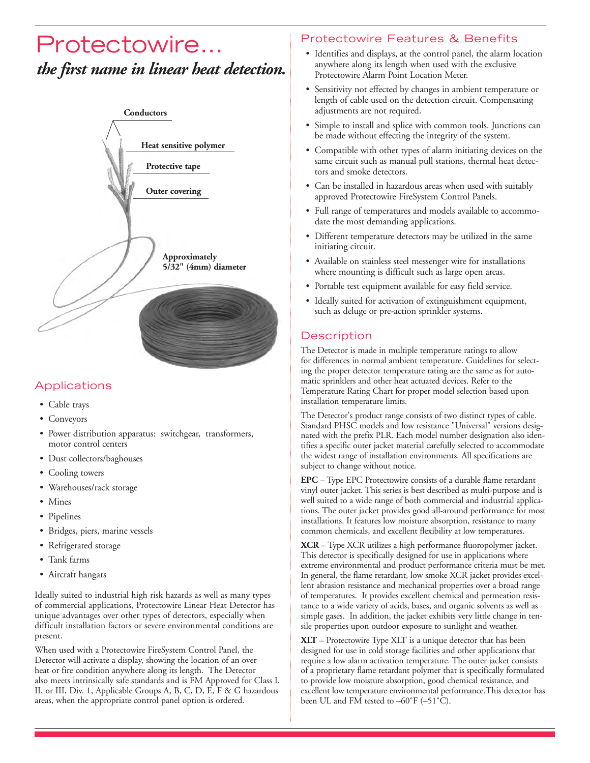## Protectowire… *the first name in linear heat detection.*



## **Applications**

- Cable trays
- Conveyors
- Power distribution apparatus: switchgear, transformers, motor control centers
- Dust collectors/baghouses
- Cooling towers
- Warehouses/rack storage
- Mines
- Pipelines
- Bridges, piers, marine vessels
- Refrigerated storage
- Tank farms
- Aircraft hangars

Ideally suited to industrial high risk hazards as well as many types of commercial applications, Protectowire Linear Heat Detector has unique advantages over other types of detectors, especially when difficult installation factors or severe environmental conditions are present.

When used with a Protectowire FireSystem Control Panel, the Detector will activate a display, showing the location of an over heat or fire condition anywhere along its length. The Detector also meets intrinsically safe standards and is FM Approved for Class I, II, or III, Div. 1, Applicable Groups A, B, C, D, E, F & G hazardous areas, when the appropriate control panel option is ordered.

## Protectowire Features & Benefits

- Identifies and displays, at the control panel, the alarm location anywhere along its length when used with the exclusive Protectowire Alarm Point Location Meter.
- Sensitivity not effected by changes in ambient temperature or length of cable used on the detection circuit. Compensating adjustments are not required.
- Simple to install and splice with common tools. Junctions can be made without effecting the integrity of the system.
- Compatible with other types of alarm initiating devices on the same circuit such as manual pull stations, thermal heat detectors and smoke detectors.
- Can be installed in hazardous areas when used with suitably approved Protectowire FireSystem Control Panels.
- Full range of temperatures and models available to accommodate the most demanding applications.
- Different temperature detectors may be utilized in the same initiating circuit.
- Available on stainless steel messenger wire for installations where mounting is difficult such as large open areas.
- Portable test equipment available for easy field service.
- Ideally suited for activation of extinguishment equipment, such as deluge or pre-action sprinkler systems.

## **Description**

The Detector is made in multiple temperature ratings to allow for differences in normal ambient temperature. Guidelines for selecting the proper detector temperature rating are the same as for automatic sprinklers and other heat actuated devices. Refer to the Temperature Rating Chart for proper model selection based upon installation temperature limits.

The Detector's product range consists of two distinct types of cable. Standard PHSC models and low resistance "Universal" versions designated with the prefix PLR. Each model number designation also identifies a specific outer jacket material carefully selected to accommodate the widest range of installation environments. All specifications are subject to change without notice.

**EPC** – Type EPC Protectowire consists of a durable flame retardant vinyl outer jacket. This series is best described as multi-purpose and is well suited to a wide range of both commercial and industrial applications. The outer jacket provides good all-around performance for most installations. It features low moisture absorption, resistance to many common chemicals, and excellent flexibility at low temperatures.

**XCR** – Type XCR utilizes a high performance fluoropolymer jacket. This detector is specifically designed for use in applications where extreme environmental and product performance criteria must be met. In general, the flame retardant, low smoke XCR jacket provides excellent abrasion resistance and mechanical properties over a broad range of temperatures. It provides excellent chemical and permeation resistance to a wide variety of acids, bases, and organic solvents as well as simple gases. In addition, the jacket exhibits very little change in tensile properties upon outdoor exposure to sunlight and weather.

**XLT** – Protectowire Type XLT is a unique detector that has been designed for use in cold storage facilities and other applications that require a low alarm activation temperature. The outer jacket consists of a proprietary flame retardant polymer that is specifically formulated to provide low moisture absorption, good chemical resistance, and excellent low temperature environmental performance.This detector has been UL and FM tested to –60˚F (–51˚C).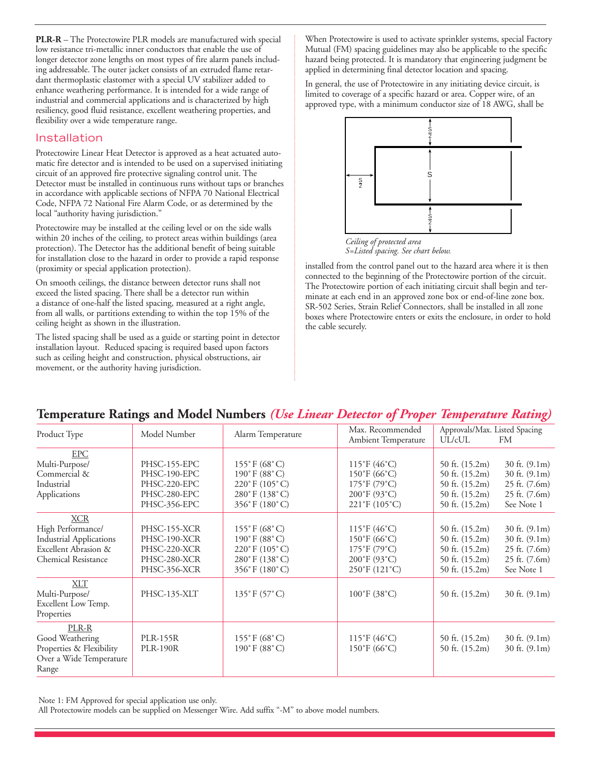**PLR-R** – The Protectowire PLR models are manufactured with special low resistance tri-metallic inner conductors that enable the use of longer detector zone lengths on most types of fire alarm panels including addressable. The outer jacket consists of an extruded flame retardant thermoplastic elastomer with a special UV stabilizer added to enhance weathering performance. It is intended for a wide range of industrial and commercial applications and is characterized by high resiliency, good fluid resistance, excellent weathering properties, and flexibility over a wide temperature range.

#### Installation

Protectowire Linear Heat Detector is approved as a heat actuated automatic fire detector and is intended to be used on a supervised initiating circuit of an approved fire protective signaling control unit. The Detector must be installed in continuous runs without taps or branches in accordance with applicable sections of NFPA 70 National Electrical Code, NFPA 72 National Fire Alarm Code, or as determined by the local "authority having jurisdiction."

Protectowire may be installed at the ceiling level or on the side walls within 20 inches of the ceiling, to protect areas within buildings (area protection). The Detector has the additional benefit of being suitable for installation close to the hazard in order to provide a rapid response (proximity or special application protection).

On smooth ceilings, the distance between detector runs shall not exceed the listed spacing. There shall be a detector run within a distance of one-half the listed spacing, measured at a right angle, from all walls, or partitions extending to within the top 15% of the ceiling height as shown in the illustration.

The listed spacing shall be used as a guide or starting point in detector installation layout. Reduced spacing is required based upon factors such as ceiling height and construction, physical obstructions, air movement, or the authority having jurisdiction.

When Protectowire is used to activate sprinkler systems, special Factory Mutual (FM) spacing guidelines may also be applicable to the specific hazard being protected. It is mandatory that engineering judgment be applied in determining final detector location and spacing.

In general, the use of Protectowire in any initiating device circuit, is limited to coverage of a specific hazard or area. Copper wire, of an approved type, with a minimum conductor size of 18 AWG, shall be



*Ceiling of protected area S=Listed spacing. See chart below.*

installed from the control panel out to the hazard area where it is then connected to the beginning of the Protectowire portion of the circuit. The Protectowire portion of each initiating circuit shall begin and terminate at each end in an approved zone box or end-of-line zone box. SR-502 Series, Strain Relief Connectors, shall be installed in all zone boxes where Protectowire enters or exits the enclosure, in order to hold the cable securely.

## **Temperature Ratings and Model Numbers** *(Use Linear Detector of Proper Temperature Rating)*

| Product Type                                                                                                            | Model Number                                                                 | Alarm Temperature                                                                                                         | Max. Recommended<br>Ambient Temperature                                                                                                                     | Approvals/Max. Listed Spacing<br>UL/cUL<br>FM                                                                                                                                    |
|-------------------------------------------------------------------------------------------------------------------------|------------------------------------------------------------------------------|---------------------------------------------------------------------------------------------------------------------------|-------------------------------------------------------------------------------------------------------------------------------------------------------------|----------------------------------------------------------------------------------------------------------------------------------------------------------------------------------|
| <b>EPC</b><br>Multi-Purpose/<br>Commercial &<br>Industrial<br>Applications                                              | PHSC-155-EPC<br>PHSC-190-EPC<br>PHSC-220-EPC<br>PHSC-280-EPC<br>PHSC-356-EPC | $155^{\circ}$ F (68 $^{\circ}$ C)<br>190°F (88°C)<br>$220^{\circ}$ F $(105^{\circ}$ C)<br>280°F (138°C)<br>356°F (180°C)  | $115^{\circ}F(46^{\circ}C)$<br>$150^{\circ}$ F (66 $^{\circ}$ C)<br>175°F (79°C)<br>200°F (93°C)<br>$221^{\circ}F(105^{\circ}C)$                            | 50 ft. $(15.2m)$<br>30 ft. $(9.1m)$<br>30 ft. (9.1m)<br>50 ft. (15.2m)<br>50 ft. $(15.2m)$<br>25 ft. (7.6m)<br>50 ft. $(15.2m)$<br>25 ft. (7.6m)<br>50 ft. (15.2m)<br>See Note 1 |
| <b>XCR</b><br>High Performance/<br><b>Industrial Applications</b><br>Excellent Abrasion &<br><b>Chemical Resistance</b> | PHSC-155-XCR<br>PHSC-190-XCR<br>PHSC-220-XCR<br>PHSC-280-XCR<br>PHSC-356-XCR | $155^{\circ}$ F (68 $^{\circ}$ C)<br>$190^{\circ}$ F (88 $^{\circ}$ C)<br>220°F (105°C)<br>280°F (138°C)<br>356°F (180°C) | 115°F (46°C)<br>$150^{\circ}$ F (66 $^{\circ}$ C)<br>$175^{\circ}F(79^{\circ}C)$<br>$200^{\circ}$ F (93 $^{\circ}$ C)<br>$250^{\circ}$ F (121 $^{\circ}$ C) | 30 ft. (9.1m)<br>50 ft. $(15.2m)$<br>30 ft. (9.1m)<br>50 ft. $(15.2m)$<br>50 ft. (15.2m)<br>25 ft. (7.6m)<br>50 ft. $(15.2m)$<br>25 ft. (7.6m)<br>50 ft. (15.2m)<br>See Note 1   |
| XLT<br>Multi-Purpose/<br>Excellent Low Temp.<br>Properties                                                              | PHSC-135-XLT                                                                 | $135^{\circ}$ F (57 $^{\circ}$ C)                                                                                         | $100^{\circ}$ F (38 $^{\circ}$ C)                                                                                                                           | 50 ft. $(15.2m)$<br>$30$ ft. $(9.1m)$                                                                                                                                            |
| PLR-R<br>Good Weathering<br>Properties & Flexibility<br>Over a Wide Temperature<br>Range                                | <b>PLR-155R</b><br><b>PLR-190R</b>                                           | $155^{\circ}$ F (68 $^{\circ}$ C)<br>$190^{\circ}$ F (88 $^{\circ}$ C)                                                    | $115^{\circ}F(46^{\circ}C)$<br>$150^{\circ}$ F (66 $^{\circ}$ C)                                                                                            | 50 ft. $(15.2m)$<br>30 ft. $(9.1m)$<br>50 ft. $(15.2m)$<br>30 ft. $(9.1m)$                                                                                                       |

Note 1: FM Approved for special application use only.

All Protectowire models can be supplied on Messenger Wire. Add suffix "-M" to above model numbers.